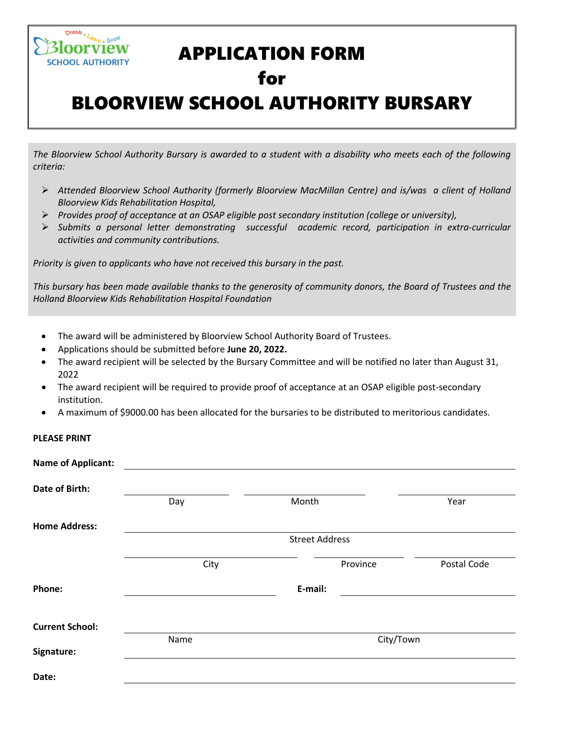# APPLICATION FORM

## for

# BLOORVIEW SCHOOL AUTHORITY BURSARY

*The Bloorview School Authority Bursary is awarded to a student with a disability who meets each of the following criteria:*

- *Attended Bloorview School Authority (formerly Bloorview MacMillan Centre) and is/was a client of Holland Bloorview Kids Rehabilitation Hospital,*
- *Provides proof of acceptance at an OSAP eligible post secondary institution (college or university),*
- *Submits a personal letter demonstrating successful academic record, participation in extra-curricular activities and community contributions.*

*Priority is given to applicants who have not received this bursary in the past.*

*This bursary has been made available thanks to the generosity of community donors, the Board of Trustees and the Holland Bloorview Kids Rehabilitation Hospital Foundation*

- The award will be administered by Bloorview School Authority Board of Trustees.
- Applications should be submitted before **June 20, 2022.**
- The award recipient will be selected by the Bursary Committee and will be notified no later than August 31, 2022
- The award recipient will be required to provide proof of acceptance at an OSAP eligible post-secondary institution.
- A maximum of \$9000.00 has been allocated for the bursaries to be distributed to meritorious candidates.

**PLEASE PRINT**

 $D^{\text{read}} \cdot L_{\text{Garb}} \cdot \text{GrO}^{\text{U}}$ orview **SCHOOL AUTHORITY** 

| <b>Name of Applicant:</b> |                       |         |           |             |  |  |
|---------------------------|-----------------------|---------|-----------|-------------|--|--|
| Date of Birth:            |                       |         |           |             |  |  |
|                           | Day                   | Month   |           | Year        |  |  |
| <b>Home Address:</b>      |                       |         |           |             |  |  |
|                           | <b>Street Address</b> |         |           |             |  |  |
|                           | City                  |         | Province  | Postal Code |  |  |
| Phone:                    |                       | E-mail: |           |             |  |  |
| <b>Current School:</b>    |                       |         |           |             |  |  |
| Signature:                | Name                  |         | City/Town |             |  |  |
| Date:                     |                       |         |           |             |  |  |